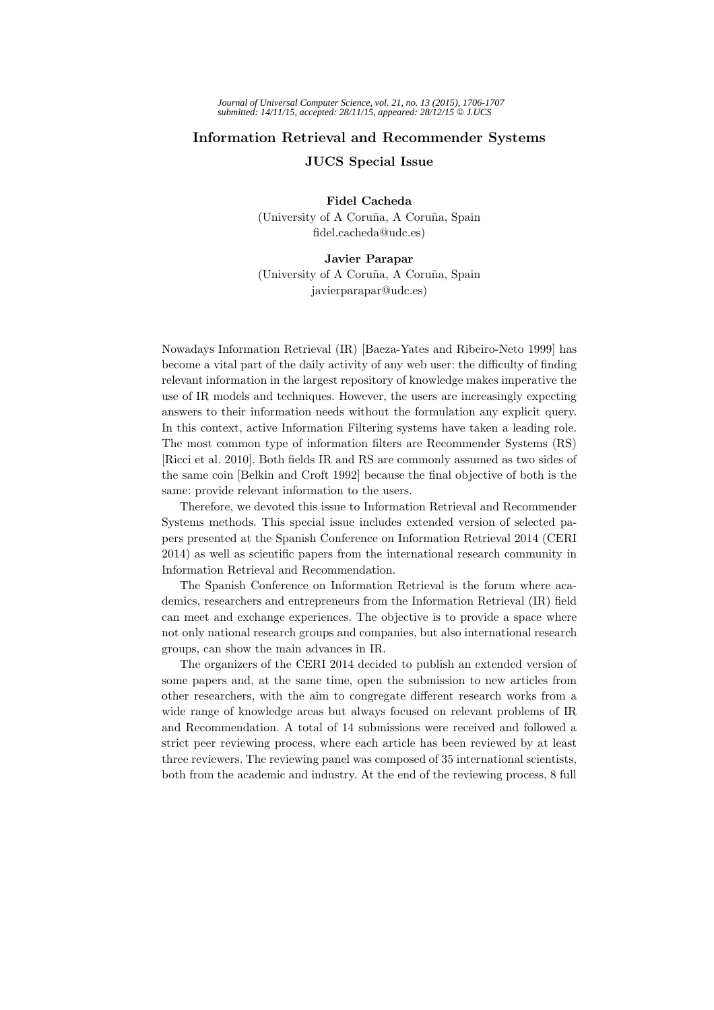## **Information Retrieval and Recommender Systems**

**JUCS Special Issue**

**Fidel Cacheda**

(University of A Coru˜na, A Coru˜na, Spain fidel.cacheda@udc.es)

## **Javier Parapar**

(University of A Coru˜na, A Coru˜na, Spain javierparapar@udc.es)

Nowadays Information Retrieval (IR) [Baeza-Yates and Ribeiro-Neto 1999] has become a vital part of the daily activity of any web user: the difficulty of finding relevant information in the largest repository of knowledge makes imperative the use of IR models and techniques. However, the users are increasingly expecting answers to their information needs without the formulation any explicit query. In this context, active Information Filtering systems have taken a leading role. The most common type of information filters are Recommender Systems (RS) [Ricci et al. 2010]. Both fields IR and RS are commonly assumed as two sides of the same coin [Belkin and Croft 1992] because the final objective of both is the same: provide relevant information to the users.

Therefore, we devoted this issue to Information Retrieval and Recommender Systems methods. This special issue includes extended version of selected papers presented at the Spanish Conference on Information Retrieval 2014 (CERI 2014) as well as scientific papers from the international research community in Information Retrieval and Recommendation.

The Spanish Conference on Information Retrieval is the forum where academics, researchers and entrepreneurs from the Information Retrieval (IR) field can meet and exchange experiences. The objective is to provide a space where not only national research groups and companies, but also international research groups, can show the main advances in IR.

The organizers of the CERI 2014 decided to publish an extended version of some papers and, at the same time, open the submission to new articles from other researchers, with the aim to congregate different research works from a wide range of knowledge areas but always focused on relevant problems of IR and Recommendation. A total of 14 submissions were received and followed a strict peer reviewing process, where each article has been reviewed by at least three reviewers. The reviewing panel was composed of 35 international scientists, both from the academic and industry. At the end of the reviewing process, 8 full